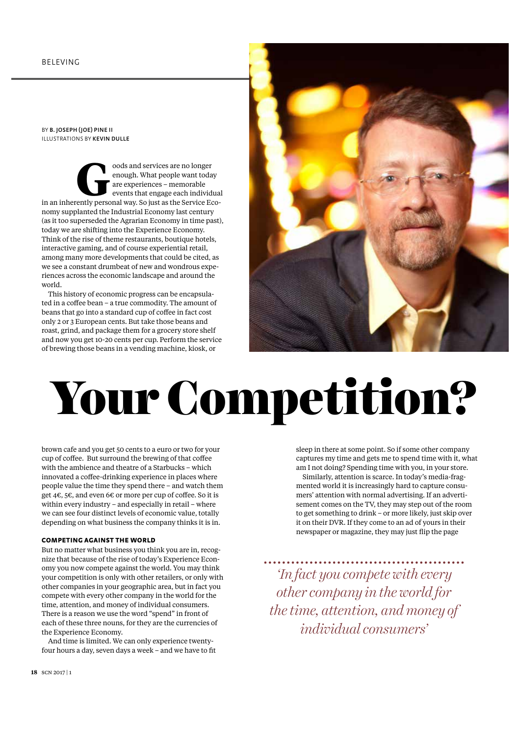BY B. JOSEPH (JOE) PINE II ILLUSTRATIONS BY KEVIN DULLE

**Goods and services are no longer<br>
enough. What people want today<br>
are experiences – memorable<br>
events that engage each individua<br>
in an inherently personal way. So just as the Service Eco**enough. What people want today are experiences – memorable events that engage each individual nomy supplanted the Industrial Economy last century (as it too superseded the Agrarian Economy in time past), today we are shifting into the Experience Economy. Think of the rise of theme restaurants, boutique hotels, interactive gaming, and of course experiential retail, among many more developments that could be cited, as we see a constant drumbeat of new and wondrous experiences across the economic landscape and around the world.

This history of economic progress can be encapsulated in a coffee bean – a true commodity. The amount of beans that go into a standard cup of coffee in fact cost only 2 or 3 European cents. But take those beans and roast, grind, and package them for a grocery store shelf and now you get 10-20 cents per cup. Perform the service of brewing those beans in a vending machine, kiosk, or



# Your Competition?

brown cafe and you get 50 cents to a euro or two for your cup of coffee. But surround the brewing of that coffee with the ambience and theatre of a Starbucks – which innovated a coffee-drinking experience in places where people value the time they spend there – and watch them get 4€, 5€, and even 6€ or more per cup of coffee. So it is within every industry – and especially in retail – where we can see four distinct levels of economic value, totally depending on what business the company thinks it is in.

# COMPETING AGAINST THE WORLD

But no matter what business you think you are in, recognize that because of the rise of today's Experience Economy you now compete against the world. You may think your competition is only with other retailers, or only with other companies in your geographic area, but in fact you compete with every other company in the world for the time, attention, and money of individual consumers. There is a reason we use the word "spend" in front of each of these three nouns, for they are the currencies of the Experience Economy.

And time is limited. We can only experience twentyfour hours a day, seven days a week – and we have to fit

sleep in there at some point. So if some other company captures my time and gets me to spend time with it, what am I not doing? Spending time with you, in your store. Similarly, attention is scarce. In today's media-fragmented world it is increasingly hard to capture consumers' attention with normal advertising. If an advertisement comes on the TV, they may step out of the room to get something to drink – or more likely, just skip over it on their DVR. If they come to an ad of yours in their newspaper or magazine, they may just flip the page

*'In fact you compete with every other company in the world for the time, attention, and money of individual consumers'*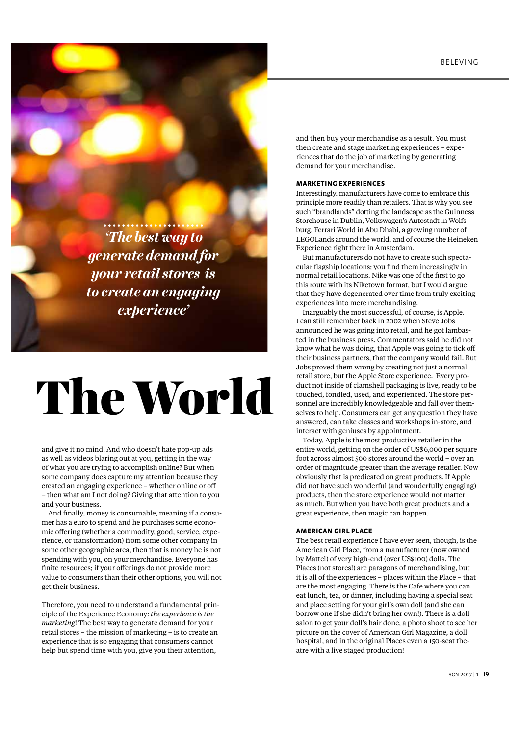*'The best way to generate demand for your retail stores is to create an engaging experience'*

# The World

and give it no mind. And who doesn't hate pop-up ads as well as videos blaring out at you, getting in the way of what you are trying to accomplish online? But when some company does capture my attention because they created an engaging experience – whether online or off – then what am I not doing? Giving that attention to you and your business.

And finally, money is consumable, meaning if a consumer has a euro to spend and he purchases some economic offering (whether a commodity, good, service, experience, or transformation) from some other company in some other geographic area, then that is money he is not spending with you, on your merchandise. Everyone has finite resources; if your offerings do not provide more value to consumers than their other options, you will not get their business.

Therefore, you need to understand a fundamental principle of the Experience Economy: *the experience is the marketing*! The best way to generate demand for your retail stores – the mission of marketing – is to create an experience that is so engaging that consumers cannot help but spend time with you, give you their attention,

and then buy your merchandise as a result. You must then create and stage marketing experiences – experiences that do the job of marketing by generating demand for your merchandise.

# MARKETING EXPERIENCES

Interestingly, manufacturers have come to embrace this principle more readily than retailers. That is why you see such "brandlands" dotting the landscape as the Guinness Storehouse in Dublin, Volkswagen's Autostadt in Wolfsburg, Ferrari World in Abu Dhabi, a growing number of LEGOLands around the world, and of course the Heineken Experience right there in Amsterdam.

But manufacturers do not have to create such spectacular flagship locations; you find them increasingly in normal retail locations. Nike was one of the first to go this route with its Niketown format, but I would argue that they have degenerated over time from truly exciting experiences into mere merchandising.

Inarguably the most successful, of course, is Apple. I can still remember back in 2002 when Steve Jobs announced he was going into retail, and he got lambasted in the business press. Commentators said he did not know what he was doing, that Apple was going to tick off their business partners, that the company would fail. But Jobs proved them wrong by creating not just a normal retail store, but the Apple Store experience. Every product not inside of clamshell packaging is live, ready to be touched, fondled, used, and experienced. The store personnel are incredibly knowledgeable and fall over themselves to help. Consumers can get any question they have answered, can take classes and workshops in-store, and interact with geniuses by appointment.

Today, Apple is the most productive retailer in the entire world, getting on the order of US\$6,000 per square foot across almost 500 stores around the world – over an order of magnitude greater than the average retailer. Now obviously that is predicated on great products. If Apple did not have such wonderful (and wonderfully engaging) products, then the store experience would not matter as much. But when you have both great products and a great experience, then magic can happen.

#### AMERICAN GIRL PLACE

The best retail experience I have ever seen, though, is the American Girl Place, from a manufacturer (now owned by Mattel) of very high-end (over US\$100) dolls. The Places (not stores!) are paragons of merchandising, but it is all of the experiences – places within the Place – that are the most engaging. There is the Cafe where you can eat lunch, tea, or dinner, including having a special seat and place setting for your girl's own doll (and she can borrow one if she didn't bring her own!). There is a doll salon to get your doll's hair done, a photo shoot to see her picture on the cover of American Girl Magazine, a doll hospital, and in the original Places even a 150-seat theatre with a live staged production!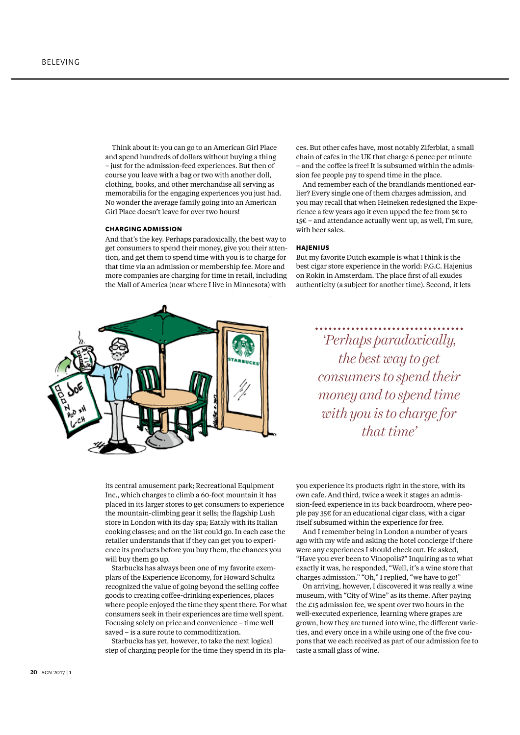Think about it: you can go to an American Girl Place and spend hundreds of dollars without buying a thing – just for the admission-feed experiences. But then of course you leave with a bag or two with another doll, clothing, books, and other merchandise all serving as memorabilia for the engaging experiences you just had. No wonder the average family going into an American Girl Place doesn't leave for over two hours!

#### CHARGING ADMISSION

And that's the key. Perhaps paradoxically, the best way to get consumers to spend their money, give you their attention, and get them to spend time with you is to charge for that time via an admission or membership fee. More and more companies are charging for time in retail, including the Mall of America (near where I live in Minnesota) with



ces. But other cafes have, most notably Ziferblat, a small chain of cafes in the UK that charge 6 pence per minute – and the coffee is free! It is subsumed within the admission fee people pay to spend time in the place.

And remember each of the brandlands mentioned earlier? Every single one of them charges admission, and you may recall that when Heineken redesigned the Experience a few years ago it even upped the fee from 5€ to 15€ – and attendance actually went up, as well, I'm sure, with beer sales.

#### HAJENIUS

But my favorite Dutch example is what I think is the best cigar store experience in the world: P.G.C. Hajenius on Rokin in Amsterdam. The place first of all exudes authenticity (a subject for another time). Second, it lets

> *'Perhaps paradoxically, the best way to get consumers to spend their money and to spend time with you is to charge for that time'*

its central amusement park; Recreational Equipment Inc., which charges to climb a 60-foot mountain it has placed in its larger stores to get consumers to experience the mountain-climbing gear it sells; the flagship Lush store in London with its day spa; Eataly with its Italian cooking classes; and on the list could go. In each case the retailer understands that if they can get you to experience its products before you buy them, the chances you will buy them go up.

Starbucks has always been one of my favorite exemplars of the Experience Economy, for Howard Schultz recognized the value of going beyond the selling coffee goods to creating coffee-drinking experiences, places where people enjoyed the time they spent there. For what consumers seek in their experiences are time well spent. Focusing solely on price and convenience – time well saved – is a sure route to commoditization.

Starbucks has yet, however, to take the next logical step of charging people for the time they spend in its playou experience its products right in the store, with its own cafe. And third, twice a week it stages an admission-feed experience in its back boardroom, where people pay 35€ for an educational cigar class, with a cigar itself subsumed within the experience for free.

And I remember being in London a number of years ago with my wife and asking the hotel concierge if there were any experiences I should check out. He asked, "Have you ever been to Vinopolis?" Inquiring as to what exactly it was, he responded, "Well, it's a wine store that charges admission." "Oh," I replied, "we have to go!"

On arriving, however, I discovered it was really a wine museum, with "City of Wine" as its theme. After paying the £15 admission fee, we spent over two hours in the well-executed experience, learning where grapes are grown, how they are turned into wine, the different varieties, and every once in a while using one of the five coupons that we each received as part of our admission fee to taste a small glass of wine.